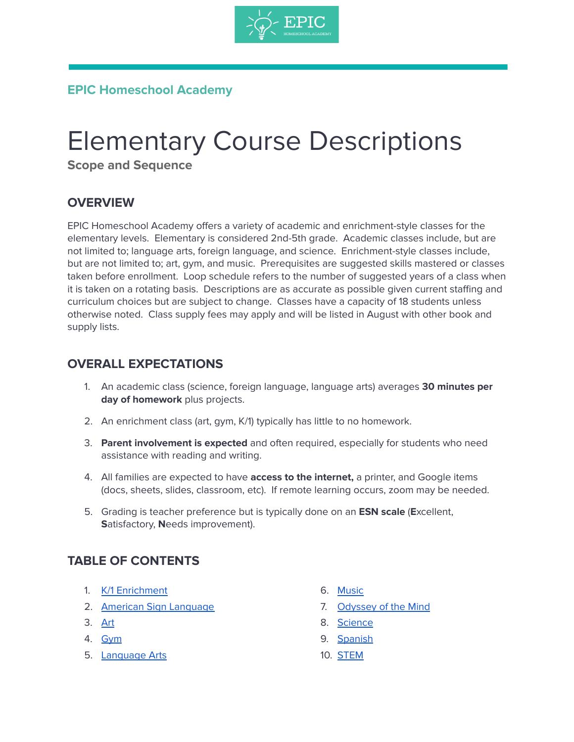

## **EPIC Homeschool Academy**

# Elementary Course Descriptions

**Scope and Sequence**

## **OVERVIEW**

EPIC Homeschool Academy offers a variety of academic and enrichment-style classes for the elementary levels. Elementary is considered 2nd-5th grade. Academic classes include, but are not limited to; language arts, foreign language, and science. Enrichment-style classes include, but are not limited to; art, gym, and music. Prerequisites are suggested skills mastered or classes taken before enrollment. Loop schedule refers to the number of suggested years of a class when it is taken on a rotating basis. Descriptions are as accurate as possible given current staffing and curriculum choices but are subject to change. Classes have a capacity of 18 students unless otherwise noted. Class supply fees may apply and will be listed in August with other book and supply lists.

#### **OVERALL EXPECTATIONS**

- 1. An academic class (science, foreign language, language arts) averages **30 minutes per day of homework** plus projects.
- 2. An enrichment class (art, gym, K/1) typically has little to no homework.
- 3. **Parent involvement is expected** and often required, especially for students who need assistance with reading and writing.
- 4. All families are expected to have **access to the internet,** a printer, and Google items (docs, sheets, slides, classroom, etc). If remote learning occurs, zoom may be needed.
- 5. Grading is teacher preference but is typically done on an **ESN scale** (**E**xcellent, **S**atisfactory, **N**eeds improvement).

## **TABLE OF CONTENTS**

- 1. K/1 [Enrichment](#page-1-0)
- 2. **American Sign [Language](#page-1-1)**
- 3. [Art](#page-2-0)
- 4. [Gym](#page-2-1)
- 5. [Language](#page-2-2) Arts
- 6. [Music](#page-4-0)
- 7. [Odyssey](#page-4-1) of the Mind
- 8. [Science](#page-5-0)
- 9. [Spanish](#page-5-1)
- 10. [STEM](#page-6-0)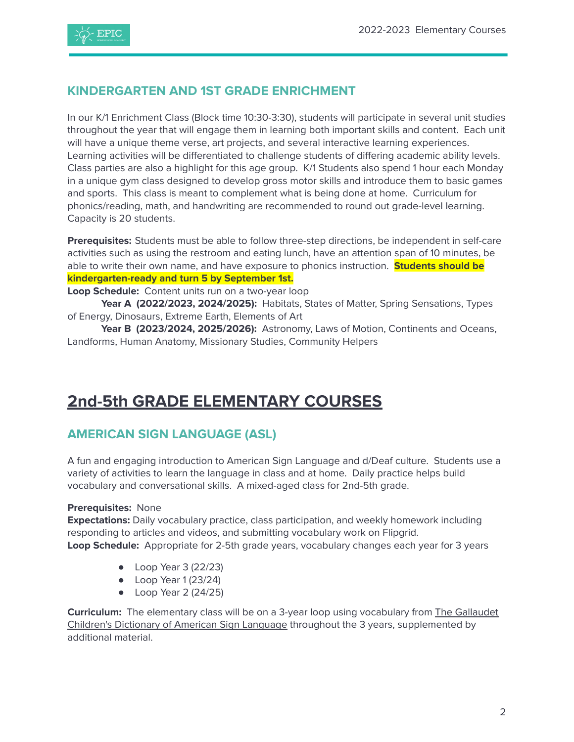

#### <span id="page-1-0"></span>**KINDERGARTEN AND 1ST GRADE ENRICHMENT**

In our K/1 Enrichment Class (Block time 10:30-3:30), students will participate in several unit studies throughout the year that will engage them in learning both important skills and content. Each unit will have a unique theme verse, art projects, and several interactive learning experiences. Learning activities will be differentiated to challenge students of differing academic ability levels. Class parties are also a highlight for this age group. K/1 Students also spend 1 hour each Monday in a unique gym class designed to develop gross motor skills and introduce them to basic games and sports. This class is meant to complement what is being done at home. Curriculum for phonics/reading, math, and handwriting are recommended to round out grade-level learning. Capacity is 20 students.

**Prerequisites:** Students must be able to follow three-step directions, be independent in self-care activities such as using the restroom and eating lunch, have an attention span of 10 minutes, be able to write their own name, and have exposure to phonics instruction. **Students should be kindergarten-ready and turn 5 by September 1st.**

#### **Loop Schedule:** Content units run on a two-year loop

**Year A (2022/2023, 2024/2025):** Habitats, States of Matter, Spring Sensations, Types of Energy, Dinosaurs, Extreme Earth, Elements of Art

**Year B (2023/2024, 2025/2026):** Astronomy, Laws of Motion, Continents and Oceans, Landforms, Human Anatomy, Missionary Studies, Community Helpers

## **2nd-5th GRADE ELEMENTARY COURSES**

## <span id="page-1-1"></span>**AMERICAN SIGN LANGUAGE (ASL)**

A fun and engaging introduction to American Sign Language and d/Deaf culture. Students use a variety of activities to learn the language in class and at home. Daily practice helps build vocabulary and conversational skills. A mixed-aged class for 2nd-5th grade.

#### **Prerequisites:** None

**Expectations:** Daily vocabulary practice, class participation, and weekly homework including responding to articles and videos, and submitting vocabulary work on Flipgrid. **Loop Schedule:** Appropriate for 2-5th grade years, vocabulary changes each year for 3 years

- Loop Year 3 (22/23)
- Loop Year 1 (23/24)
- Loop Year 2 (24/25)

**Curriculum:** The elementary class will be on a 3-year loop using vocabulary from The [Gallaudet](https://www.barnesandnoble.com/w/the-gallaudet-childrens-dictionary-of-american-sign-language-the-editors-of-gallaudet-university-press/1123113175?ean=9781563686313) Children's [Dictionary](https://www.barnesandnoble.com/w/the-gallaudet-childrens-dictionary-of-american-sign-language-the-editors-of-gallaudet-university-press/1123113175?ean=9781563686313) of American Sign Language throughout the 3 years, supplemented by additional material.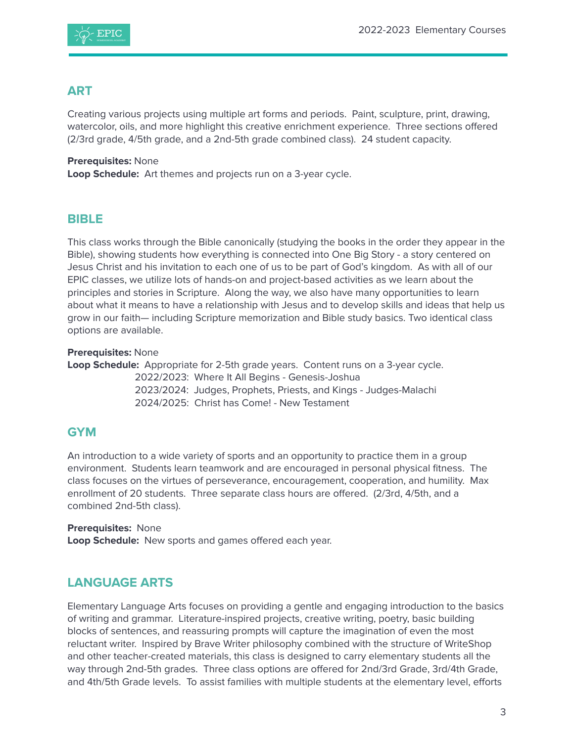

#### <span id="page-2-0"></span>**ART**

Creating various projects using multiple art forms and periods. Paint, sculpture, print, drawing, watercolor, oils, and more highlight this creative enrichment experience. Three sections offered (2/3rd grade, 4/5th grade, and a 2nd-5th grade combined class). 24 student capacity.

**Prerequisites:** None **Loop Schedule:** Art themes and projects run on a 3-year cycle.

#### **BIBLE**

This class works through the Bible canonically (studying the books in the order they appear in the Bible), showing students how everything is connected into One Big Story - a story centered on Jesus Christ and his invitation to each one of us to be part of God's kingdom. As with all of our EPIC classes, we utilize lots of hands-on and project-based activities as we learn about the principles and stories in Scripture. Along the way, we also have many opportunities to learn about what it means to have a relationship with Jesus and to develop skills and ideas that help us grow in our faith— including Scripture memorization and Bible study basics. Two identical class options are available.

**Prerequisites:** None

**Loop Schedule:** Appropriate for 2-5th grade years. Content runs on a 3-year cycle.

2022/2023: Where It All Begins - Genesis-Joshua 2023/2024: Judges, Prophets, Priests, and Kings - Judges-Malachi 2024/2025: Christ has Come! - New Testament

## <span id="page-2-1"></span>**GYM**

An introduction to a wide variety of sports and an opportunity to practice them in a group environment. Students learn teamwork and are encouraged in personal physical fitness. The class focuses on the virtues of perseverance, encouragement, cooperation, and humility. Max enrollment of 20 students. Three separate class hours are offered. (2/3rd, 4/5th, and a combined 2nd-5th class).

**Prerequisites:** None **Loop Schedule:** New sports and games offered each year.

## <span id="page-2-2"></span>**LANGUAGE ARTS**

Elementary Language Arts focuses on providing a gentle and engaging introduction to the basics of writing and grammar. Literature-inspired projects, creative writing, poetry, basic building blocks of sentences, and reassuring prompts will capture the imagination of even the most reluctant writer. Inspired by Brave Writer philosophy combined with the structure of WriteShop and other teacher-created materials, this class is designed to carry elementary students all the way through 2nd-5th grades. Three class options are offered for 2nd/3rd Grade, 3rd/4th Grade, and 4th/5th Grade levels. To assist families with multiple students at the elementary level, efforts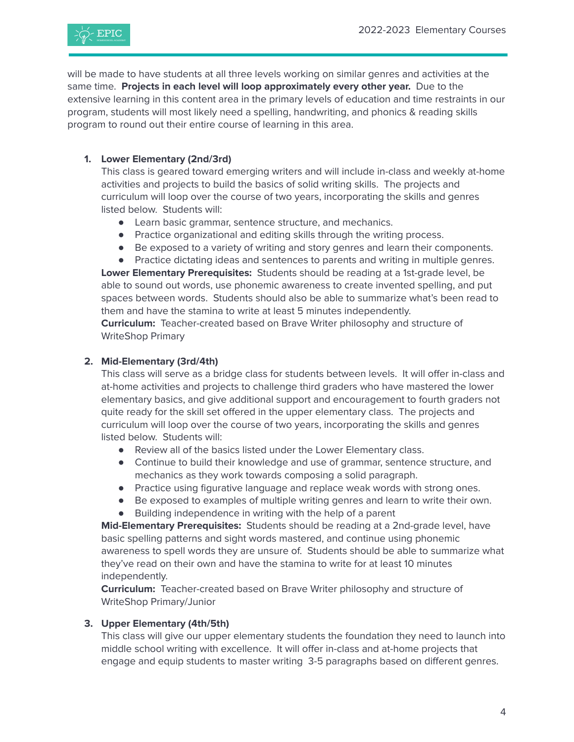

will be made to have students at all three levels working on similar genres and activities at the same time. **Projects in each level will loop approximately every other year.** Due to the extensive learning in this content area in the primary levels of education and time restraints in our program, students will most likely need a spelling, handwriting, and phonics & reading skills program to round out their entire course of learning in this area.

#### **1. Lower Elementary (2nd/3rd)**

This class is geared toward emerging writers and will include in-class and weekly at-home activities and projects to build the basics of solid writing skills. The projects and curriculum will loop over the course of two years, incorporating the skills and genres listed below. Students will:

- Learn basic grammar, sentence structure, and mechanics.
- Practice organizational and editing skills through the writing process.
- Be exposed to a variety of writing and story genres and learn their components.
- Practice dictating ideas and sentences to parents and writing in multiple genres.

**Lower Elementary Prerequisites:** Students should be reading at a 1st-grade level, be able to sound out words, use phonemic awareness to create invented spelling, and put spaces between words. Students should also be able to summarize what's been read to them and have the stamina to write at least 5 minutes independently.

**Curriculum:** Teacher-created based on Brave Writer philosophy and structure of WriteShop Primary

#### **2. Mid-Elementary (3rd/4th)**

This class will serve as a bridge class for students between levels. It will offer in-class and at-home activities and projects to challenge third graders who have mastered the lower elementary basics, and give additional support and encouragement to fourth graders not quite ready for the skill set offered in the upper elementary class. The projects and curriculum will loop over the course of two years, incorporating the skills and genres listed below. Students will:

- Review all of the basics listed under the Lower Elementary class.
- Continue to build their knowledge and use of grammar, sentence structure, and mechanics as they work towards composing a solid paragraph.
- Practice using figurative language and replace weak words with strong ones.
- Be exposed to examples of multiple writing genres and learn to write their own.
- Building independence in writing with the help of a parent

**Mid-Elementary Prerequisites:** Students should be reading at a 2nd-grade level, have basic spelling patterns and sight words mastered, and continue using phonemic awareness to spell words they are unsure of. Students should be able to summarize what they've read on their own and have the stamina to write for at least 10 minutes independently.

**Curriculum:** Teacher-created based on Brave Writer philosophy and structure of WriteShop Primary/Junior

#### **3. Upper Elementary (4th/5th)**

This class will give our upper elementary students the foundation they need to launch into middle school writing with excellence. It will offer in-class and at-home projects that engage and equip students to master writing 3-5 paragraphs based on different genres.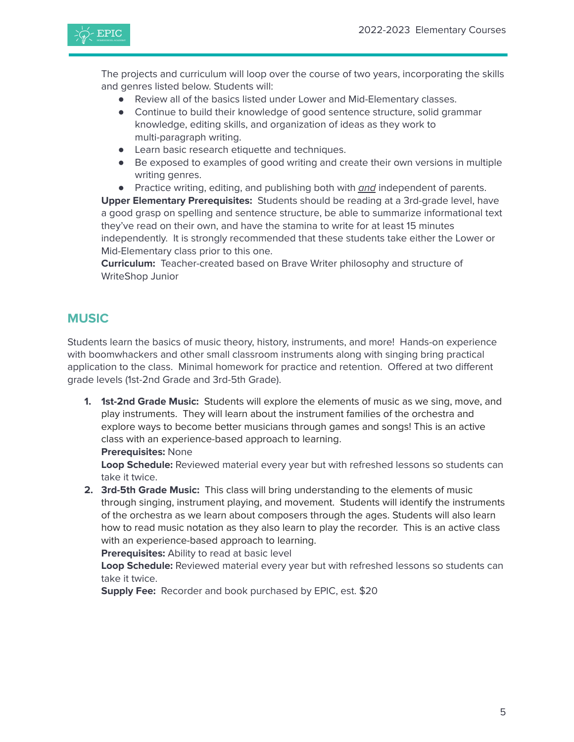

The projects and curriculum will loop over the course of two years, incorporating the skills and genres listed below. Students will:

- Review all of the basics listed under Lower and Mid-Elementary classes.
- Continue to build their knowledge of good sentence structure, solid grammar knowledge, editing skills, and organization of ideas as they work to multi-paragraph writing.
- Learn basic research etiquette and techniques.
- Be exposed to examples of good writing and create their own versions in multiple writing genres.
- Practice writing, editing, and publishing both with and independent of parents.

**Upper Elementary Prerequisites:** Students should be reading at a 3rd-grade level, have a good grasp on spelling and sentence structure, be able to summarize informational text they've read on their own, and have the stamina to write for at least 15 minutes independently. It is strongly recommended that these students take either the Lower or Mid-Elementary class prior to this one.

**Curriculum:** Teacher-created based on Brave Writer philosophy and structure of WriteShop Junior

#### <span id="page-4-0"></span>**MUSIC**

Students learn the basics of music theory, history, instruments, and more! Hands-on experience with boomwhackers and other small classroom instruments along with singing bring practical application to the class. Minimal homework for practice and retention. Offered at two different grade levels (1st-2nd Grade and 3rd-5th Grade).

**1. 1st-2nd Grade Music:** Students will explore the elements of music as we sing, move, and play instruments. They will learn about the instrument families of the orchestra and explore ways to become better musicians through games and songs! This is an active class with an experience-based approach to learning.

**Prerequisites:** None

**Loop Schedule:** Reviewed material every year but with refreshed lessons so students can take it twice.

**2. 3rd-5th Grade Music:** This class will bring understanding to the elements of music through singing, instrument playing, and movement. Students will identify the instruments of the orchestra as we learn about composers through the ages. Students will also learn how to read music notation as they also learn to play the recorder. This is an active class with an experience-based approach to learning.

**Prerequisites:** Ability to read at basic level

**Loop Schedule:** Reviewed material every year but with refreshed lessons so students can take it twice.

<span id="page-4-1"></span>**Supply Fee:** Recorder and book purchased by EPIC, est. \$20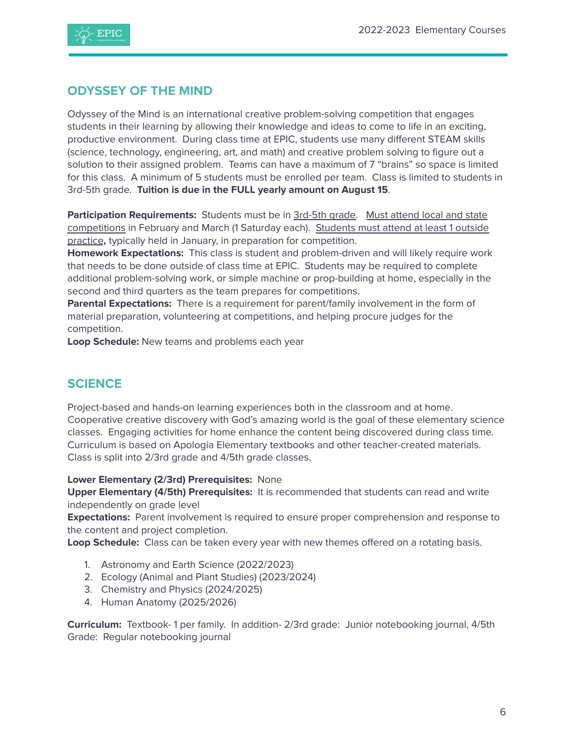



#### **ODYSSEY OF THE MIND**

Odyssey of the Mind is an international creative problem-solving competition that engages students in their learning by allowing their knowledge and ideas to come to life in an exciting, productive environment. During class time at EPIC, students use many different STEAM skills (science, technology, engineering, art, and math) and creative problem solving to figure out a solution to their assigned problem. Teams can have a maximum of 7 "brains" so space is limited for this class. A minimum of 5 students must be enrolled per team. Class is limited to students in 3rd-5th grade. **Tuition is due in the FULL yearly amount on August 15**.

**Participation Requirements:** Students must be in 3rd-5th grade. Must attend local and state competitions in February and March (1 Saturday each). Students must attend at least 1 outside practice**,** typically held in January, in preparation for competition.

**Homework Expectations:** This class is student and problem-driven and will likely require work that needs to be done outside of class time at EPIC. Students may be required to complete additional problem-solving work, or simple machine or prop-building at home, especially in the second and third quarters as the team prepares for competitions.

**Parental Expectations:** There is a requirement for parent/family involvement in the form of material preparation, volunteering at competitions, and helping procure judges for the competition.

**Loop Schedule:** New teams and problems each year

#### <span id="page-5-0"></span>**SCIENCE**

Project-based and hands-on learning experiences both in the classroom and at home. Cooperative creative discovery with God's amazing world is the goal of these elementary science classes. Engaging activities for home enhance the content being discovered during class time. Curriculum is based on Apologia Elementary textbooks and other teacher-created materials. Class is split into 2/3rd grade and 4/5th grade classes.

#### **Lower Elementary (2/3rd) Prerequisites:** None

**Upper Elementary (4/5th) Prerequisites:** It is recommended that students can read and write independently on grade level

**Expectations:** Parent involvement is required to ensure proper comprehension and response to the content and project completion.

**Loop Schedule:** Class can be taken every year with new themes offered on a rotating basis.

- 1. Astronomy and Earth Science (2022/2023)
- 2. Ecology (Animal and Plant Studies) (2023/2024)
- 3. Chemistry and Physics (2024/2025)
- 4. Human Anatomy (2025/2026)

<span id="page-5-1"></span>**Curriculum:** Textbook- 1 per family. In addition- 2/3rd grade: Junior notebooking journal, 4/5th Grade: Regular notebooking journal